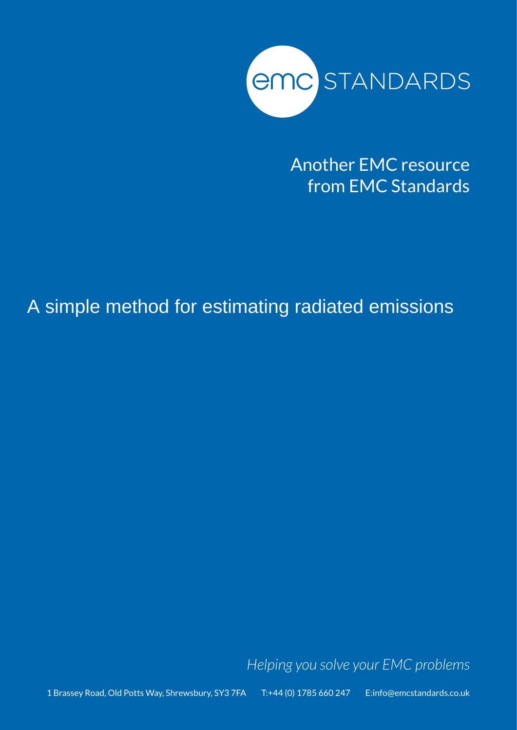

Another EMC resource from EMC Standards

A simple method for estimating radiated emissions

*Helping you solve your EMC problems*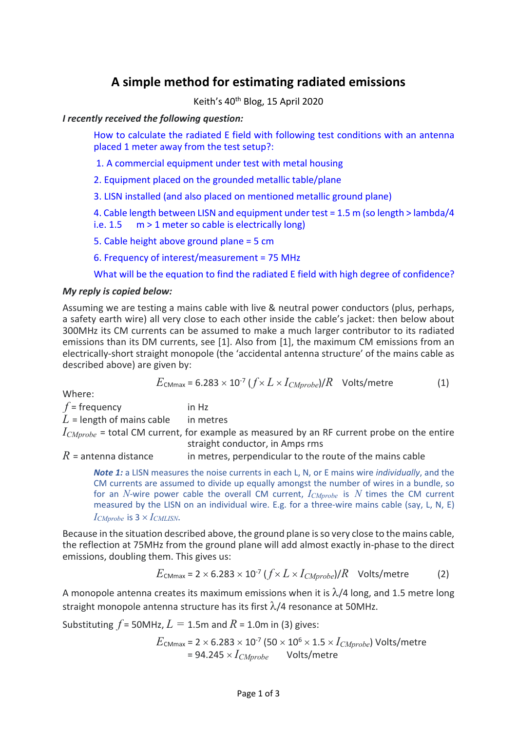# **A simple method for estimating radiated emissions**

Keith's 40th Blog, 15 April 2020

*I recently received the following question:*

How to calculate the radiated E field with following test conditions with an antenna placed 1 meter away from the test setup?:

1. A commercial equipment under test with metal housing

2. Equipment placed on the grounded metallic table/plane

3. LISN installed (and also placed on mentioned metallic ground plane)

4. Cable length between LISN and equipment under test = 1.5 m (so length > lambda/4 i.e.  $1.5 \text{ m} > 1$  meter so cable is electrically long)

5. Cable height above ground plane = 5 cm

6. Frequency of interest/measurement = 75 MHz

What will be the equation to find the radiated E field with high degree of confidence?

## *My reply is copied below:*

Assuming we are testing a mains cable with live & neutral power conductors (plus, perhaps, a safety earth wire) all very close to each other inside the cable's jacket: then below about 300MHz its CM currents can be assumed to make a much larger contributor to its radiated emissions than its DM currents, see [1]. Also from [1], the maximum CM emissions from an electrically-short straight monopole (the 'accidental antenna structure' of the mains cable as described above) are given by:

$$
E_{\text{CMmax}} = 6.283 \times 10^{-7} \left( \frac{f}{X} L \times I_{\text{CMprobe}} \right) / R \quad \text{Volts/metre} \tag{1}
$$

Where:

 $f = f$ requency in Hz

 $L$  = length of mains cable in metres

*ICMprobe* = total CM current, for example as measured by an RF current probe on the entire straight conductor, in Amps rms

 $R$  = antenna distance in metres, perpendicular to the route of the mains cable

*Note 1:* a LISN measures the noise currents in each L, N, or E mains wire *individually*, and the CM currents are assumed to divide up equally amongst the number of wires in a bundle, so for an *N*-wire power cable the overall CM current, *ICMprobe* is *N* times the CM current measured by the LISN on an individual wire. E.g. for a three-wire mains cable (say, L, N, E)  $I_{CMprobe}$  is  $3 \times I_{CMLISN}$ .

Because in the situation described above, the ground plane is so very close to the mains cable, the reflection at 75MHz from the ground plane will add almost exactly in-phase to the direct emissions, doubling them. This gives us:

$$
E_{\text{CMmax}} = 2 \times 6.283 \times 10^{-7} (f \times L \times I_{\text{CMprobe}})/R \text{ Volts/metre}
$$
 (2)

A monopole antenna creates its maximum emissions when it is  $\lambda$ /4 long, and 1.5 metre long straight monopole antenna structure has its first λ/4 resonance at 50MHz.

Substituting  $f = 50$ MHz,  $L = 1.5$ m and  $R = 1.0$ m in (3) gives:

 $E_{\text{CMmax}}$  = 2 × 6.283 × 10<sup>-7</sup> (50 × 10<sup>6</sup> × 1.5 ×  $I_{CMprobe}$ ) Volts/metre  $= 94.245 \times I_{CMprobe}$  Volts/metre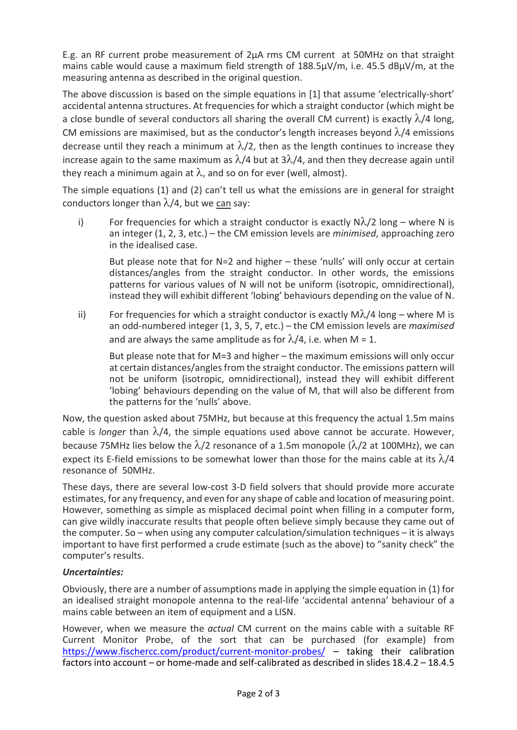E.g. an RF current probe measurement of 2µA rms CM current at 50MHz on that straight mains cable would cause a maximum field strength of 188.5µV/m, i.e. 45.5 dBµV/m, at the measuring antenna as described in the original question.

The above discussion is based on the simple equations in [1] that assume 'electrically-short' accidental antenna structures. At frequencies for which a straight conductor (which might be a close bundle of several conductors all sharing the overall CM current) is exactly  $\lambda/4$  long, CM emissions are maximised, but as the conductor's length increases beyond  $\lambda/4$  emissions decrease until they reach a minimum at  $\lambda/2$ , then as the length continues to increase they increase again to the same maximum as  $\lambda$ /4 but at  $3\lambda$ /4, and then they decrease again until they reach a minimum again at  $\lambda$ , and so on for ever (well, almost).

The simple equations (1) and (2) can't tell us what the emissions are in general for straight conductors longer than  $\lambda/4$ , but we can say:

i) For frequencies for which a straight conductor is exactly  $N\lambda/2$  long – where N is an integer (1, 2, 3, etc.) – the CM emission levels are *minimised*, approaching zero in the idealised case.

But please note that for N=2 and higher – these 'nulls' will only occur at certain distances/angles from the straight conductor. In other words, the emissions patterns for various values of N will not be uniform (isotropic, omnidirectional), instead they will exhibit different 'lobing' behaviours depending on the value of N.

ii) For frequencies for which a straight conductor is exactly  $M\lambda/4$  long – where M is an odd-numbered integer (1, 3, 5, 7, etc.) – the CM emission levels are *maximised* and are always the same amplitude as for  $\lambda/4$ , i.e. when M = 1.

But please note that for M=3 and higher – the maximum emissions will only occur at certain distances/angles from the straight conductor. The emissions pattern will not be uniform (isotropic, omnidirectional), instead they will exhibit different 'lobing' behaviours depending on the value of M, that will also be different from the patterns for the 'nulls' above.

Now, the question asked about 75MHz, but because at this frequency the actual 1.5m mains cable is *longer* than  $\lambda/4$ , the simple equations used above cannot be accurate. However, because 75MHz lies below the  $\lambda/2$  resonance of a 1.5m monopole ( $\lambda/2$  at 100MHz), we can expect its E-field emissions to be somewhat lower than those for the mains cable at its  $\lambda/4$ resonance of 50MHz.

These days, there are several low-cost 3-D field solvers that should provide more accurate estimates, for any frequency, and even for any shape of cable and location of measuring point. However, something as simple as misplaced decimal point when filling in a computer form, can give wildly inaccurate results that people often believe simply because they came out of the computer. So – when using any computer calculation/simulation techniques – it is always important to have first performed a crude estimate (such as the above) to "sanity check" the computer's results.

## *Uncertainties:*

Obviously, there are a number of assumptions made in applying the simple equation in (1) for an idealised straight monopole antenna to the real-life 'accidental antenna' behaviour of a mains cable between an item of equipment and a LISN.

However, when we measure the *actual* CM current on the mains cable with a suitable RF Current Monitor Probe, of the sort that can be purchased (for example) from https://www.fischercc.com/product/current-monitor-probes/ – taking their calibration factors into account – or home-made and self-calibrated as described in slides 18.4.2 – 18.4.5